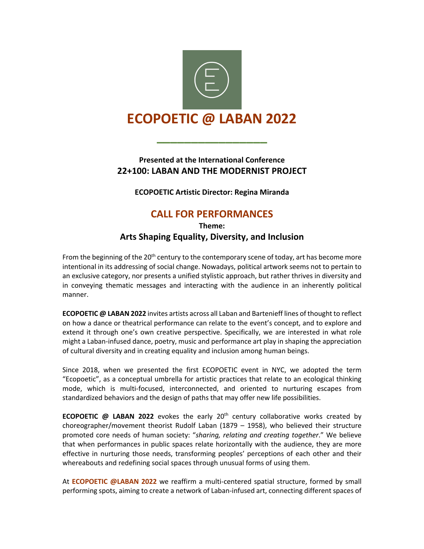

## **Presented at the International Conference 22+100: LABAN AND THE MODERNIST PROJECT**

**\_\_\_\_\_\_\_\_\_\_\_\_\_\_\_\_**

**ECOPOETIC Artistic Director: Regina Miranda**

# **CALL FOR PERFORMANCES**

**Theme: Arts Shaping Equality, Diversity, and Inclusion**

From the beginning of the  $20<sup>th</sup>$  century to the contemporary scene of today, art has become more intentional in its addressing of social change. Nowadays, political artwork seems not to pertain to an exclusive category, nor presents a unified stylistic approach, but rather thrives in diversity and in conveying thematic messages and interacting with the audience in an inherently political manner.

**ECOPOETIC @ LABAN 2022** invites artists across all Laban and Bartenieff lines of thought to reflect on how a dance or theatrical performance can relate to the event's concept, and to explore and extend it through one's own creative perspective. Specifically, we are interested in what role might a Laban-infused dance, poetry, music and performance art play in shaping the appreciation of cultural diversity and in creating equality and inclusion among human beings.

Since 2018, when we presented the first ECOPOETIC event in NYC, we adopted the term "Ecopoetic", as a conceptual umbrella for artistic practices that relate to an ecological thinking mode, which is multi-focused, interconnected, and oriented to nurturing escapes from standardized behaviors and the design of paths that may offer new life possibilities.

**ECOPOETIC @ LABAN 2022** evokes the early 20th century collaborative works created by choreographer/movement theorist Rudolf Laban (1879 – 1958), who believed their structure promoted core needs of human society: "*sharing, relating and creating together*." We believe that when performances in public spaces relate horizontally with the audience, they are more effective in nurturing those needs, transforming peoples' perceptions of each other and their whereabouts and redefining social spaces through unusual forms of using them.

At **ECOPOETIC @LABAN 2022** we reaffirm a multi-centered spatial structure, formed by small performing spots, aiming to create a network of Laban-infused art, connecting different spaces of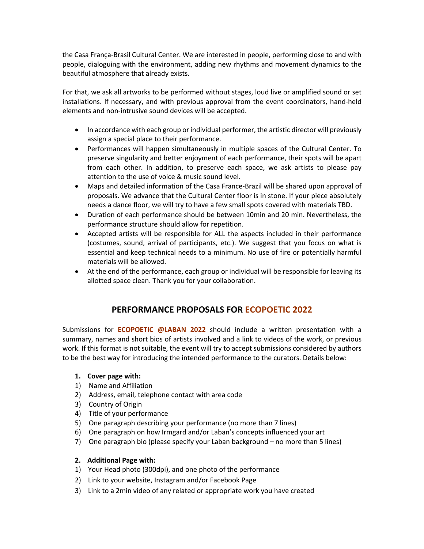the Casa França-Brasil Cultural Center. We are interested in people, performing close to and with people, dialoguing with the environment, adding new rhythms and movement dynamics to the beautiful atmosphere that already exists.

For that, we ask all artworks to be performed without stages, loud live or amplified sound or set installations. If necessary, and with previous approval from the event coordinators, hand-held elements and non-intrusive sound devices will be accepted.

- In accordance with each group or individual performer, the artistic director will previously assign a special place to their performance.
- Performances will happen simultaneously in multiple spaces of the Cultural Center. To preserve singularity and better enjoyment of each performance, their spots will be apart from each other. In addition, to preserve each space, we ask artists to please pay attention to the use of voice & music sound level.
- Maps and detailed information of the Casa France-Brazil will be shared upon approval of proposals. We advance that the Cultural Center floor is in stone. If your piece absolutely needs a dance floor, we will try to have a few small spots covered with materials TBD.
- Duration of each performance should be between 10min and 20 min. Nevertheless, the performance structure should allow for repetition.
- Accepted artists will be responsible for ALL the aspects included in their performance (costumes, sound, arrival of participants, etc.). We suggest that you focus on what is essential and keep technical needs to a minimum. No use of fire or potentially harmful materials will be allowed.
- At the end of the performance, each group or individual will be responsible for leaving its allotted space clean. Thank you for your collaboration.

## **PERFORMANCE PROPOSALS FOR ECOPOETIC 2022**

Submissions for **ECOPOETIC @LABAN 2022** should include a written presentation with a summary, names and short bios of artists involved and a link to videos of the work, or previous work. If this format is not suitable, the event will try to accept submissions considered by authors to be the best way for introducing the intended performance to the curators. Details below:

#### **1. Cover page with:**

- 1) Name and Affiliation
- 2) Address, email, telephone contact with area code
- 3) Country of Origin
- 4) Title of your performance
- 5) One paragraph describing your performance (no more than 7 lines)
- 6) One paragraph on how Irmgard and/or Laban's concepts influenced your art
- 7) One paragraph bio (please specify your Laban background no more than 5 lines)

#### **2. Additional Page with:**

- 1) Your Head photo (300dpi), and one photo of the performance
- 2) Link to your website, Instagram and/or Facebook Page
- 3) Link to a 2min video of any related or appropriate work you have created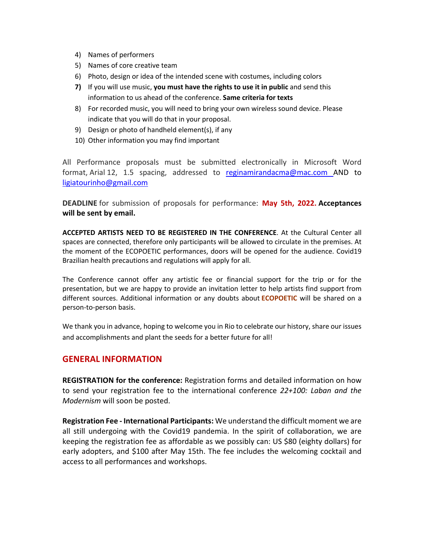- 4) Names of performers
- 5) Names of core creative team
- 6) Photo, design or idea of the intended scene with costumes, including colors
- **7)** If you will use music, **you must have the rights to use it in public** and send this information to us ahead of the conference. **Same criteria for texts**
- 8) For recorded music, you will need to bring your own wireless sound device. Please indicate that you will do that in your proposal.
- 9) Design or photo of handheld element(s), if any
- 10) Other information you may find important

All Performance proposals must be submitted electronically in Microsoft Word format, Arial 12, 1.5 spacing, addressed to reginamirandacma@mac.com AND to ligiatourinho@gmail.com

**DEADLINE** for submission of proposals for performance: **May 5th, 2022. Acceptances will be sent by email.**

**ACCEPTED ARTISTS NEED TO BE REGISTERED IN THE CONFERENCE**. At the Cultural Center all spaces are connected, therefore only participants will be allowed to circulate in the premises. At the moment of the ECOPOETIC performances, doors will be opened for the audience. Covid19 Brazilian health precautions and regulations will apply for all.

The Conference cannot offer any artistic fee or financial support for the trip or for the presentation, but we are happy to provide an invitation letter to help artists find support from different sources. Additional information or any doubts about **ECOPOETIC** will be shared on a person-to-person basis.

We thank you in advance, hoping to welcome you in Rio to celebrate our history, share our issues and accomplishments and plant the seeds for a better future for all!

### **GENERAL INFORMATION**

**REGISTRATION for the conference:** Registration forms and detailed information on how to send your registration fee to the international conference *22+100: Laban and the Modernism* will soon be posted.

**Registration Fee - International Participants:** We understand the difficult moment we are all still undergoing with the Covid19 pandemia. In the spirit of collaboration, we are keeping the registration fee as affordable as we possibly can: US \$80 (eighty dollars) for early adopters, and \$100 after May 15th. The fee includes the welcoming cocktail and access to all performances and workshops.